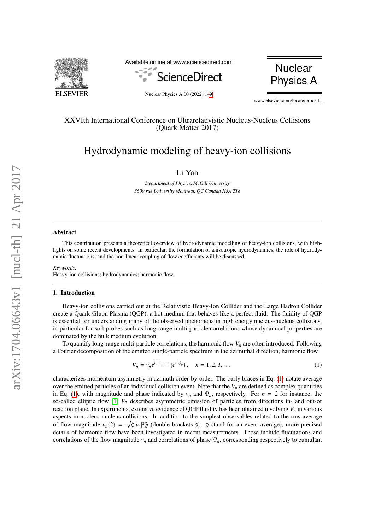

Available online at www.sciencedirect.com





Nuclear Physics A 00 (2022) 1[–9](#page-7-0)

www.elsevier.com/locate/procedia

# XXVIth International Conference on Ultrarelativistic Nucleus-Nucleus Collisions (Quark Matter 2017)

# Hydrodynamic modeling of heavy-ion collisions

Li Yan

*Department of Physics, McGill University 3600 rue University Montreal, QC Canada H3A 2T8*

#### Abstract

This contribution presents a theoretical overview of hydrodynamic modelling of heavy-ion collisions, with highlights on some recent developments. In particular, the formulation of anisotropic hydrodynamics, the role of hydrodynamic fluctuations, and the non-linear coupling of flow coefficients will be discussed.

*Keywords:* Heavy-ion collisions; hydrodynamics; harmonic flow.

#### 1. Introduction

Heavy-ion collisions carried out at the Relativistic Heavy-Ion Collider and the Large Hadron Collider create a Quark-Gluon Plasma (QGP), a hot medium that behaves like a perfect fluid. The fluidity of QGP is essential for understanding many of the observed phenomena in high energy nucleus-nucleus collisions, in particular for soft probes such as long-range multi-particle correlations whose dynamical properties are dominated by the bulk medium evolution.

To quantify long-range multi-particle correlations, the harmonic flow  $V<sub>n</sub>$  are often introduced. Following a Fourier decomposition of the emitted single-particle spectrum in the azimuthal direction, harmonic flow

<span id="page-0-0"></span>
$$
V_n = v_n e^{in\Psi_n} \equiv \{e^{in\phi_p}\}, \quad n = 1, 2, 3, \dots
$$
 (1)

characterizes momentum asymmetry in azimuth order-by-order. The curly braces in Eq. [\(1\)](#page-0-0) notate average over the emitted particles of an individual collision event. Note that the  $V<sub>n</sub>$  are defined as complex quantities in Eq. [\(1\)](#page-0-0), with magnitude and phase indicated by  $v_n$  and  $\Psi_n$ , respectively. For  $n = 2$  for instance, the so-called elliptic flow [\[1\]](#page-7-1) *V*<sup>2</sup> describes asymmetric emission of particles from directions in- and out-of reaction plane. In experiments, extensive evidence of QGP fluidity has been obtained involving  $V<sub>n</sub>$  in various aspects in nucleus-nucleus collisions. In addition to the simplest observables related to the rms average of flow magnitude  $v_n(2) = \sqrt{\langle |\psi_n|^2 \rangle}$  (double brackets  $\langle \langle \ldots \rangle \rangle$  stand for an event average), more precised<br>details of harmonic flow have been investigated in recent measurements. These include fluctuations and details of harmonic flow have been investigated in recent measurements. These include fluctuations and correlations of the flow magnitude *v<sup>n</sup>* and correlations of phase Ψ*n*, corresponding respectively to cumulant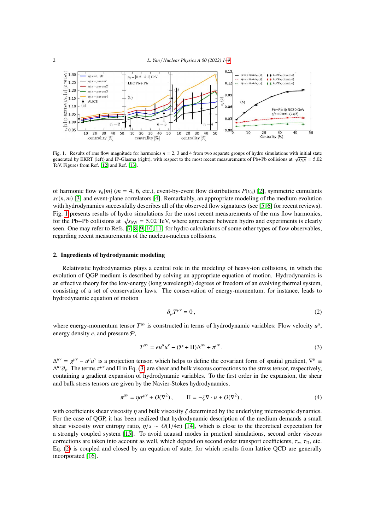

<span id="page-1-0"></span>Fig. 1. Results of rms flow magnitude for harmonics *n* = 2, 3 and 4 from two separate groups of hydro simulations with initial state generated by EKRT (left) and IP-Glasma (right), with respect to the most recent measurements of Pb+Pb collisions at  $\sqrt{s_{NN}} = 5.02$ <br>generated by EKRT (left) and IP-Glasma (right), with respect to the most recent measuremen TeV. Figures from Ref. [\[12\]](#page-7-2) and Ref. [\[13\]](#page-7-3).

of harmonic flow  $v_n$ {*m*} (*m* = 4, 6, etc.), event-by-event flow distributions  $P(v_n)$  [\[2\]](#page-7-4), symmetric cumulants  $sc(n, m)$  [\[3\]](#page-7-5) and event-plane correlators [\[4\]](#page-7-6). Remarkably, an appropriate modeling of the medium evolution with hydrodynamics successfully describes all of the observed flow signatures (see [\[5,](#page-7-7) [6\]](#page-7-8) for recent reviews). Fig. [1](#page-1-0) presents results of hydro simulations for the most recent measurements of the rms flow harmonics, Fig. 1 presents results of hydro simulations for the most recent measurements of the fins now narmones,<br>for the Pb+Pb collisions at  $\sqrt{s_{NN}}$  = 5.02 TeV, where agreement between hydro and experiments is clearly<br>seen. One m seen. One may refer to Refs. [\[7,](#page-7-9) [8,](#page-7-10) [9,](#page-7-11) [10,](#page-7-12) [11\]](#page-7-13) for hydro calculations of some other types of flow observables, regarding recent measurements of the nucleus-nucleus collisions.

#### 2. Ingredients of hydrodynamic modeling

Relativistic hydrodynamics plays a central role in the modeling of heavy-ion collisions, in which the evolution of QGP medium is described by solving an appropriate equation of motion. Hydrodynamics is an effective theory for the low-energy (long wavelength) degrees of freedom of an evolving thermal system, consisting of a set of conservation laws. The conservation of energy-momentum, for instance, leads to hydrodynamic equation of motion

<span id="page-1-2"></span>
$$
\partial_{\mu}T^{\mu\nu} = 0, \tag{2}
$$

where energy-momentum tensor  $T^{\mu\nu}$  is constructed in terms of hydrodynamic variables: Flow velocity  $u^{\mu}$ , energy density *e*, and pressure P,

<span id="page-1-1"></span>
$$
T^{\mu\nu} = e u^{\mu} u^{\nu} - (\mathcal{P} + \Pi) \Delta^{\mu\nu} + \pi^{\mu\nu}.
$$
\n(3)

 $\Delta^{\mu\nu} = g^{\mu\nu} - u^{\mu}u^{\nu}$  is a projection tensor, which helps to define the covariant form of spatial gradient,  $\nabla^{\mu} =$  $\Delta^{\mu\nu}\partial_{\nu}$ . The terms  $\pi^{\mu\nu}$  and  $\Pi$  in Eq. [\(3\)](#page-1-1) are shear and bulk viscous corrections to the stress tensor, respectively, containing a gradient expansion of hydrodynamic variables. To the first order in the exp containing a gradient expansion of hydrodynamic variables. To the first order in the expansion, the shear and bulk stress tensors are given by the Navier-Stokes hydrodynamics,

$$
\pi^{\mu\nu} = \eta \sigma^{\mu\nu} + O(\nabla^2), \qquad \Pi = -\zeta \nabla \cdot u + O(\nabla^2), \tag{4}
$$

with coefficients shear viscosity  $\eta$  and bulk viscosity  $\zeta$  determined by the underlying microscopic dynamics. For the case of QGP, it has been realized that hydrodynamic description of the medium demands a small shear viscosity over entropy ratio,  $\eta/s \sim O(1/4\pi)$  [\[14\]](#page-7-14), which is close to the theoretical expectation for a strongly coupled system [\[15\]](#page-7-15). To avoid acausal modes in practical simulations, second order viscous corrections are taken into account as well, which depend on second order transport coefficients,  $\tau_{\pi}$ ,  $\tau_{\Pi}$ , etc. Eq. [\(2\)](#page-1-2) is coupled and closed by an equation of state, for which results from lattice QCD are generally incorporated [\[16\]](#page-7-16).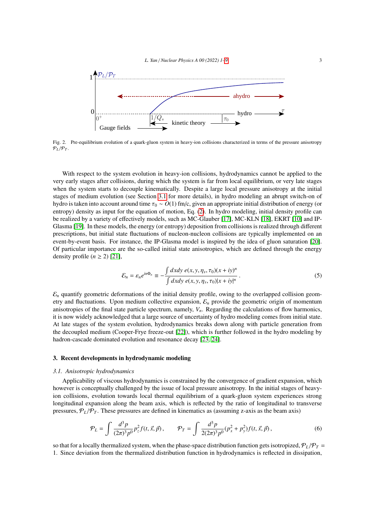

<span id="page-2-1"></span>Fig. 2. Pre-equilibrium evolution of a quark-gluon system in heavy-ion collisions characterized in terms of the pressure anisotropy  $P_L/P_T$ .

With respect to the system evolution in heavy-ion collisions, hydrodynamics cannot be applied to the very early stages after collisions, during which the system is far from local equilibrium, or very late stages when the system starts to decouple kinematically. Despite a large local pressure anisotropy at the initial stages of medium evolution (see Section [3.1](#page-2-0) for more details), in hydro modeling an abrupt switch-on of hydro is taken into account around time <sup>τ</sup><sup>0</sup> <sup>∼</sup> *<sup>O</sup>*(1) fm/c, given an appropriate initial distribution of energy (or entropy) density as input for the equation of motion, Eq. [\(2\)](#page-1-2). In hydro modeling, initial density profile can be realized by a variety of effectively models, such as MC-Glauber [\[17\]](#page-7-17), MC-KLN [\[18\]](#page-7-18), EKRT [\[10\]](#page-7-12) and IP-Glasma [\[19\]](#page-7-19). In these models, the energy (or entropy) deposition from collisions is realized through different prescriptions, but initial state fluctuations of nucleon-nucleon collisions are typically implemented on an event-by-event basis. For instance, the IP-Glasma model is inspired by the idea of gluon saturation [\[20\]](#page-7-20). Of particular importance are the so-called initial state anisotropies, which are defined through the energy density profile  $(n \geq 2)$  [\[21\]](#page-7-21),

<span id="page-2-2"></span>
$$
\mathcal{E}_n = \varepsilon_n e^{in\Phi_n} \equiv -\frac{\int dx dy \ e(x, y, \eta_s, \tau_0)(x + iy)^n}{\int dx dy \ e(x, y, \eta_s, \tau_0)|x + iy|^n} \,. \tag{5}
$$

 $\mathcal{E}_n$  quantify geometric deformations of the initial density profile, owing to the overlapped collision geometry and fluctuations. Upon medium collective expansion, E*<sup>n</sup>* provide the geometric origin of momentum anisotropies of the final state particle spectrum, namely, *Vn*. Regarding the calculations of flow harmonics, it is now widely acknowledged that a large source of uncertainty of hydro modeling comes from initial state. At late stages of the system evolution, hydrodynamics breaks down along with particle generation from the decoupled medium (Cooper-Frye freeze-out [\[22\]](#page-7-22)), which is further followed in the hydro modeling by hadron-cascade dominated evolution and resonance decay [\[23,](#page-7-23) [24\]](#page-7-24).

#### 3. Recent developments in hydrodynamic modeling

#### <span id="page-2-0"></span>*3.1. Anisotropic hydrodynamics*

Applicability of viscous hydrodynamics is constrained by the convergence of gradient expansion, which however is conceptually challenged by the issue of local pressure anisotropy. In the initial stages of heavyion collisions, evolution towards local thermal equilibrium of a quark-gluon system experiences strong longitudinal expansion along the beam axis, which is reflected by the ratio of longitudinal to transverse pressures,  $P_L/P_T$ . These pressures are defined in kinematics as (assuming z-axis as the beam axis)

$$
\mathcal{P}_L = \int \frac{d^3 p}{(2\pi)^3 p^0} p_z^2 f(t, \vec{x}, \vec{p}), \qquad \mathcal{P}_T = \int \frac{d^3 p}{2(2\pi)^3 p^0} (p_x^2 + p_y^2) f(t, \vec{x}, \vec{p}), \tag{6}
$$

so that for a locally thermalized system, when the phase-space distribution function gets isotropized,  $P_L/P_T =$ 1. Since deviation from the thermalized distribution function in hydrodynamics is reflected in dissipation,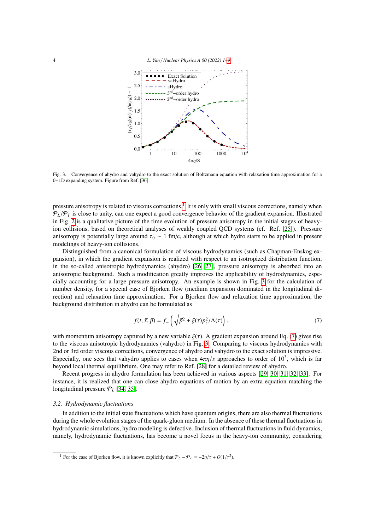

<span id="page-3-1"></span>Fig. 3. Convergence of ahydro and vahydro to the exact solution of Boltzmann equation with relaxation time approximation for a 0+1D expanding system. Figure from Ref. [\[36\]](#page-7-25).

pressure anisotropy is related to viscous corrections.<sup>[1](#page-3-0)</sup> It is only with small viscous corrections, namely when  $P_L/P_T$  is close to unity, can one expect a good convergence behavior of the gradient expansion. Illustrated in Fig. [2](#page-2-1) is a qualitative picture of the time evolution of pressure anisotropy in the initial stages of heavyion collisions, based on theoretical analyses of weakly coupled QCD systems (cf. Ref. [\[25\]](#page-7-26)). Pressure anisotropy is potentially large around  $\tau_0 \sim 1$  fm/c, although at which hydro starts to be applied in present modelings of heavy-ion collisions.

Distinguished from a canonical formulation of viscous hydrodynamics (such as Chapman-Enskog expansion), in which the gradient expansion is realized with respect to an isotropized distribution function, in the so-called anisotropic hydrodynamics (ahydro) [\[26,](#page-7-27) [27\]](#page-7-28), pressure anisotropy is absorbed into an anisotropic background. Such a modification greatly improves the applicability of hydrodynamics, especially accounting for a large pressure anisotropy. An example is shown in Fig. [3](#page-3-1) for the calculation of number density, for a special case of Bjorken flow (medium expansion dominated in the longitudinal direction) and relaxation time approximation. For a Bjorken flow and relaxation time approximation, the background distribution in ahydro can be formulated as

<span id="page-3-2"></span>
$$
f(t, \vec{x}, \vec{p}) = f_{\text{iso}} \left( \sqrt{\vec{p}^2 + \xi(\tau) p_z^2} / \Lambda(\tau) \right), \tag{7}
$$

with momentum anisotropy captured by a new variable  $\xi(\tau)$ . A gradient expansion around Eq. [\(7\)](#page-3-2) gives rise to the viscous anisotropic hydrodynamics (vahydro) in Fig. [3.](#page-3-1) Comparing to viscous hydrodynamics with 2nd or 3rd order viscous corrections, convergence of ahydro and vahydro to the exact solution is impressive. Especially, one sees that vahydro applies to cases when  $4\pi\eta/s$  approaches to order of  $10^3$ , which is far-<br>heyond local thermal equilibrium. One may refer to Ref. [28] for a detailed review of abydro. beyond local thermal equilibrium. One may refer to Ref. [\[28\]](#page-7-29) for a detailed review of ahydro.

Recent progress in ahydro formulation has been achieved in various aspects [\[29,](#page-7-30) [30,](#page-7-31) [31,](#page-7-32) [32,](#page-7-33) [33\]](#page-7-34). For instance, it is realized that one can close ahydro equations of motion by an extra equation matching the longitudinal pressure  $P_L$  [\[34,](#page-7-35) [35\]](#page-7-36).

#### *3.2. Hydrodynamic fluctuations*

In addition to the initial state fluctuations which have quantum origins, there are also thermal fluctuations during the whole evolution stages of the quark-gluon medium. In the absence of these thermal fluctuations in hydrodynamic simulations, hydro modeling is defective. Inclusion of thermal fluctuations in fluid dynamics, namely, hydrodynamic fluctuations, has become a novel focus in the heavy-ion community, considering

<span id="page-3-0"></span><sup>&</sup>lt;sup>1</sup> For the case of Bjorken flow, it is known explicitly that  $P_L - P_T = -2\eta/\tau + O(1/\tau^2)$ .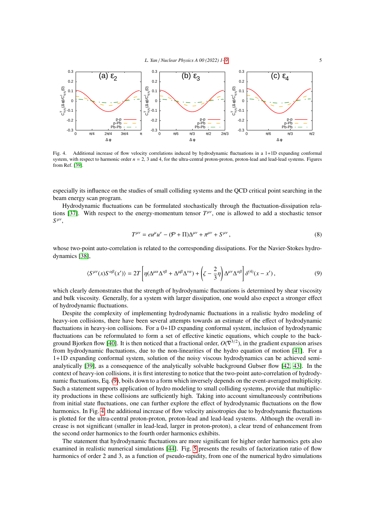

<span id="page-4-1"></span>Fig. 4. Additional increase of flow velocity correlations induced by hydrodynamic fluctuations in a 1+1D expanding conformal system, with respect to harmonic order  $n = 2$ , 3 and 4, for the ultra-central proton-proton, proton-lead and lead-lead systems. Figures from Ref. [\[39\]](#page-7-37).

especially its influence on the studies of small colliding systems and the QCD critical point searching in the beam energy scan program.

Hydrodynamic fluctuations can be formulated stochastically through the fluctuation-dissipation rela-tions [\[37\]](#page-7-38). With respect to the energy-momentum tensor  $T^{\mu\nu}$ , one is allowed to add a stochastic tensor  $S^{\mu\nu}$ ,

$$
T^{\mu\nu} = e u^{\mu} u^{\nu} - (\mathcal{P} + \Pi) \Delta^{\mu\nu} + \pi^{\mu\nu} + S^{\mu\nu}, \tag{8}
$$

whose two-point auto-correlation is related to the corresponding dissipations. For the Navier-Stokes hydrodynamics [\[38\]](#page-7-39),

<span id="page-4-0"></span>
$$
\langle S^{\mu\nu}(x)S^{\alpha\beta}(x')\rangle = 2T\left[\eta(\Delta^{\mu\alpha}\Delta^{\nu\beta} + \Delta^{\mu\beta}\Delta^{\nu\alpha}) + \left(\zeta - \frac{2}{3}\eta\right)\Delta^{\mu\nu}\Delta^{\alpha\beta}\right]\delta^{(4)}(x - x'),\tag{9}
$$

which clearly demonstrates that the strength of hydrodynamic fluctuations is determined by shear viscosity and bulk viscosity. Generally, for a system with larger dissipation, one would also expect a stronger effect of hydrodynamic fluctuations.

Despite the complexity of implementing hydrodynamic fluctuations in a realistic hydro modeling of heavy-ion collisions, there have been several attempts towards an estimate of the effect of hydrodynamic fluctuations in heavy-ion collisions. For a 0+1D expanding conformal system, inclusion of hydrodynamic fluctuations can be reformulated to form a set of effective kinetic equations, which couple to the back-ground Bjorken flow [\[40\]](#page-7-40). It is then noticed that a fractional order,  $O(\nabla^{3/2})$ , in the gradient expansion arises from hydrodynamic fluctuations, due to the non-linearities of the hydro equation of motion [\[41\]](#page-7-41). For a 1+1D expanding conformal system, solution of the noisy viscous hydrodynamics can be achieved semianalytically [\[39\]](#page-7-37), as a consequence of the analytically solvable background Gubser flow [\[42,](#page-7-42) [43\]](#page-7-43). In the context of heavy-ion collisions, it is first interesting to notice that the two-point auto-correlation of hydrodynamic fluctuations, Eq. [\(9\)](#page-4-0), boils down to a form which inversely depends on the event-averaged multiplicity. Such a statement supports application of hydro modeling to small colliding systems, provide that multiplicity productions in these collisions are sufficiently high. Taking into account simultaneously contributions from initial state fluctuations, one can further explore the effect of hydrodynamic fluctuations on the flow harmonics. In Fig. [4,](#page-4-1) the additional increase of flow velocity anisotropies due to hydrodynamic fluctuations is plotted for the ultra-central proton-proton, proton-lead and lead-lead systems. Although the overall increase is not significant (smaller in lead-lead, larger in proton-proton), a clear trend of enhancement from the second order harmonics to the fourth order harmonics exhibits.

The statement that hydrodynamic fluctuations are more significant for higher order harmonics gets also examined in realistic numerical simulations [\[44\]](#page-7-44). Fig. [5](#page-5-0) presents the results of factorization ratio of flow harmonics of order 2 and 3, as a function of pseudo-rapidity, from one of the numerical hydro simulations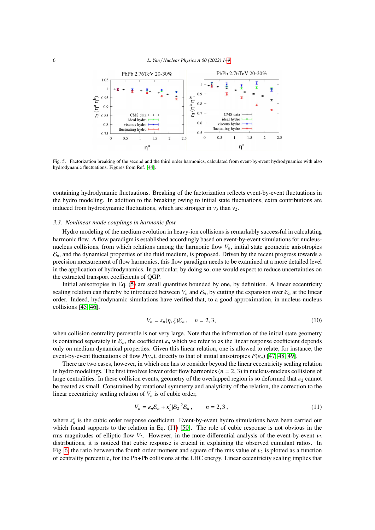

<span id="page-5-0"></span>Fig. 5. Factorization breaking of the second and the third order harmonics, calculated from event-by-event hydrodynamics with also hydrodynamic fluctuations. Figures from Ref. [\[44\]](#page-7-44).

containing hydrodynamic fluctuations. Breaking of the factorization reflects event-by-event fluctuations in the hydro modeling. In addition to the breaking owing to initial state fluctuations, extra contributions are induced from hydrodynamic fluctuations, which are stronger in  $v_3$  than  $v_2$ .

#### *3.3. Nonlinear mode couplings in harmonic flow*

Hydro modeling of the medium evolution in heavy-ion collisions is remarkably successful in calculating harmonic flow. A flow paradigm is established accordingly based on event-by-event simulations for nucleusnucleus collisions, from which relations among the harmonic flow  $V_n$ , initial state geometric anisotropies  $\mathcal{E}_n$ , and the dynamical properties of the fluid medium, is proposed. Driven by the recent progress towards a precision measurement of flow harmonics, this flow paradigm needs to be examined at a more detailed level in the application of hydrodynamics. In particular, by doing so, one would expect to reduce uncertainties on the extracted transport coefficients of QGP.

Initial anisotropies in Eq. [\(5\)](#page-2-2) are small quantities bounded by one, by definition. A linear eccentricity scaling relation can thereby be introduced between  $V_n$  and  $\mathcal{E}_n$ , by cutting the expansion over  $\mathcal{E}_n$  at the linear order. Indeed, hydrodynamic simulations have verified that, to a good approximation, in nucleus-nucleus collisions [\[45,](#page-7-45) [46\]](#page-7-46),

$$
V_n = \kappa_n(\eta, \zeta) \mathcal{E}_n, \quad n = 2, 3,
$$
\n<sup>(10)</sup>

when collision centrality percentile is not very large. Note that the information of the initial state geometry is contained separately in  $\mathcal{E}_n$ , the coefficient  $\kappa_n$  which we refer to as the linear response coefficient depends only on medium dynamical properties. Given this linear relation, one is allowed to relate, for instance, the event-by-event fluctuations of flow  $P(v_n)$ , directly to that of initial anisotropies  $P(\varepsilon_n)$  [\[47,](#page-7-47) [48,](#page-7-48) [49\]](#page-8-0).

There are two cases, however, in which one has to consider beyond the linear eccentricity scaling relation in hydro modelings. The first involves lower order flow harmonics (*n* = 2, 3) in nucleus-nucleus collisions of large centralities. In these collision events, geometry of the overlapped region is so deformed that  $\varepsilon_2$  cannot be treated as small. Constrained by rotational symmetry and analyticity of the relation, the correction to the linear eccentricity scaling relation of  $V<sub>n</sub>$  is of cubic order,

<span id="page-5-1"></span>
$$
V_n = \kappa_n \mathcal{E}_n + \kappa_n' |\mathcal{E}_2|^2 \mathcal{E}_n, \qquad n = 2, 3,
$$
\n<sup>(11)</sup>

where  $\kappa'_n$  is the cubic order response coefficient. Event-by-event hydro simulations have been carried out which found supports to the relation in Eq. (11) [50]. The role of cubic response is not obvious in the which found supports to the relation in Eq. [\(11\)](#page-5-1) [\[50\]](#page-8-1). The role of cubic response is not obvious in the rms magnitudes of elliptic flow  $V_2$ . However, in the more differential analysis of the event-by-event  $v_2$ distributions, it is noticed that cubic response is crucial in explaining the observed cumulant ratios. In Fig. [6,](#page-6-0) the ratio between the fourth order moment and square of the rms value of  $v_2$  is plotted as a function of centrality percentile, for the Pb+Pb collisions at the LHC energy. Linear eccentricity scaling implies that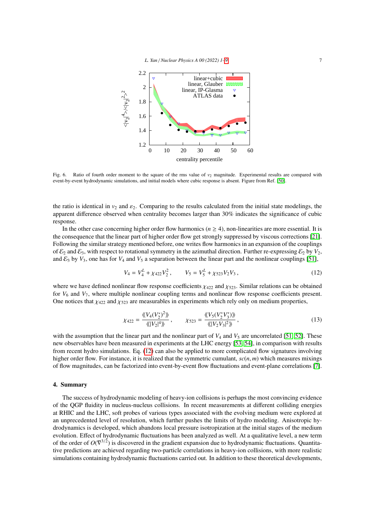

<span id="page-6-0"></span>Fig. 6. Ratio of fourth order moment to the square of the rms value of  $v_2$  magnitude. Experimental results are compared with event-by-event hydrodynamic simulations, and initial models where cubic response is absent. Figure from Ref. [\[50\]](#page-8-1).

the ratio is identical in  $v_2$  and  $\varepsilon_2$ . Comparing to the results calculated from the initial state modelings, the apparent difference observed when centrality becomes larger than 30% indicates the significance of cubic response.

In the other case concerning higher order flow harmonics ( $n \geq 4$ ), non-linearities are more essential. It is the consequence that the linear part of higher order flow get strongly suppressed by viscous corrections [\[21\]](#page-7-21). Following the similar strategy mentioned before, one writes flow harmonics in an expansion of the couplings of  $\mathcal{E}_2$  and  $\mathcal{E}_3$ , with respect to rotational symmetry in the azimuthal direction. Further re-expressing  $\mathcal{E}_2$  by  $V_2$ , and  $\mathcal{E}_3$  by  $V_3$ , one has for  $V_4$  and  $V_5$  a separation between the linear part and the nonlinear couplings [\[51\]](#page-8-2),

<span id="page-6-1"></span>
$$
V_4 = V_4^L + \chi_{422} V_2^2, \qquad V_5 = V_5^L + \chi_{523} V_2 V_3, \qquad (12)
$$

where we have defined nonlinear flow response coefficients  $\chi_{422}$  and  $\chi_{523}$ . Similar relations can be obtained for *V*<sup>6</sup> and *V*7, where multiple nonlinear coupling terms and nonlinear flow response coefficients present. One notices that  $\chi_{422}$  and  $\chi_{523}$  are measurables in experiments which rely only on medium properties,

$$
\chi_{422} = \frac{\langle V_4 (V_2^*)^2 \rangle}{\langle |V_2|^4 \rangle}, \qquad \chi_{523} = \frac{\langle V_5 (V_2^* V_3^*) \rangle}{\langle |V_2 V_3|^2 \rangle}, \tag{13}
$$

with the assumption that the linear part and the nonlinear part of  $V_4$  and  $V_5$  are uncorrelated [\[51,](#page-8-2) [52\]](#page-8-3). These new observables have been measured in experiments at the LHC energy [\[53,](#page-8-4) [54\]](#page-8-5), in comparison with results from recent hydro simulations. Eq. [\(12\)](#page-6-1) can also be applied to more complicated flow signatures involving higher order flow. For instance, it is realized that the symmetric cumulant, *sc*(*n*, *<sup>m</sup>*) which measures mixings of flow magnitudes, can be factorized into event-by-event flow fluctuations and event-plane correlations [\[7\]](#page-7-9).

### 4. Summary

The success of hydrodynamic modeling of heavy-ion collisions is perhaps the most convincing evidence of the QGP fluidity in nucleus-nucleus collisions. In recent measurements at different colliding energies at RHIC and the LHC, soft probes of various types associated with the evolving medium were explored at an unprecedented level of resolution, which further pushes the limits of hydro modeling. Anisotropic hydrodynamics is developed, which abandons local pressure isotropization at the initial stages of the medium evolution. Effect of hydrodynamic fluctuations has been analyzed as well. At a qualitative level, a new term of the order of  $O(\nabla^{3/2})$  is discovered in the gradient expansion due to hydrodynamic fluctuations. Quantitative predictions are achieved regarding two-particle correlations in heavy-ion collisions, with more realistic simulations containing hydrodynamic fluctuations carried out. In addition to these theoretical developments,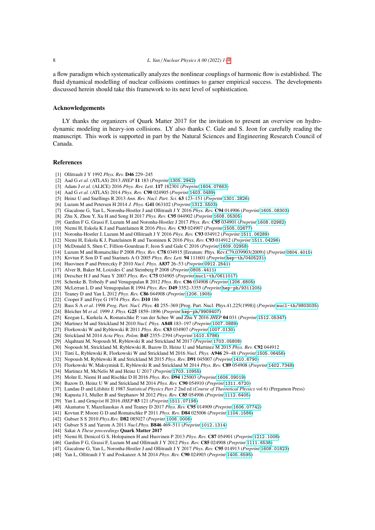a flow paradigm which systematically analyzes the nonlinear couplings of harmonic flow is established. The fluid dynamical modelling of nuclear collisions continues to garner empirical success. The developments discussed herein should take this framework to its next level of sophistication.

## Acknowledgements

LY thanks the organizers of Quark Matter 2017 for the invitation to present an overview on hydrodynamic modeling in heavy-ion collisions. LY also thanks C. Gale and S. Jeon for carefully reading the manuscript. This work is supported in part by the Natural Sciences and Engineering Research Council of Canada.

#### <span id="page-7-0"></span>References

- <span id="page-7-1"></span>[1] Ollitrault J Y 1992 *Phys. Rev.* D46 229–245
- <span id="page-7-4"></span>[2] Aad G *et al.* (ATLAS) 2013 *JHEP* 11 183 (*Preprint* <1305.2942>)
- <span id="page-7-5"></span>[3] Adam J *et al.* (ALICE) 2016 *Phys. Rev. Lett.* 117 182301 (*Preprint* <1604.07663>)
- <span id="page-7-6"></span>[4] Aad G *et al.* (ATLAS) 2014 *Phys. Rev.* C90 024905 (*Preprint* <1403.0489>)
- <span id="page-7-7"></span>[5] Heinz U and Snellings R 2013 *Ann. Rev. Nucl. Part. Sci.* 63 123–151 (*Preprint* <1301.2826>)
- <span id="page-7-8"></span>[6] Luzum M and Petersen H 2014 *J. Phys.* G41 063102 (*Preprint* <1312.5503>)
- <span id="page-7-9"></span>[7] Giacalone G, Yan L, Noronha-Hostler J and Ollitrault J Y 2016 *Phys. Rev.* C94 014906 (*Preprint* <1605.08303>)
- <span id="page-7-10"></span>[8] Zhu X, Zhou Y, Xu H and Song H 2017 *Phys. Rev.* C95 044902 (*Preprint* <1608.05305>)
- <span id="page-7-11"></span>[9] Gardim F G, Grassi F, Luzum M and Noronha-Hostler J 2017 *Phys. Rev.* C95 034901 (*Preprint* <1608.02982>)
- <span id="page-7-12"></span>[10] Niemi H, Eskola K J and Paatelainen R 2016 *Phys. Rev.* C93 024907 (*Preprint* <1505.02677>)
- <span id="page-7-13"></span>[11] Noronha-Hostler J, Luzum M and Ollitrault J Y 2016 *Phys. Rev.* C93 034912 (*Preprint* <1511.06289>)
- <span id="page-7-2"></span>[12] Niemi H, Eskola K J, Paatelainen R and Tuominen K 2016 *Phys. Rev.* C93 014912 (*Preprint* <1511.04296>)
- <span id="page-7-3"></span>[13] McDonald S, Shen C, Fillion-Gourdeau F, Jeon S and Gale C 2016 (*Preprint* <1609.02958>)
- <span id="page-7-14"></span>[14] Luzum M and Romatschke P 2008 *Phys. Rev.* C78 034915 [Erratum: Phys. Rev.C79,039903(2009)] (*Preprint* <0804.4015>)
- <span id="page-7-15"></span>[15] Kovtun P, Son D T and Starinets A O 2005 *Phys. Rev. Lett.* 94 111601 (*Preprint* <hep-th/0405231>)
- <span id="page-7-16"></span>[16] Huovinen P and Petreczky P 2010 *Nucl. Phys.* A837 26–53 (*Preprint* <0912.2541>)
- <span id="page-7-17"></span>[17] Alver B, Baker M, Loizides C and Steinberg P 2008 (*Preprint* <0805.4411>)
- <span id="page-7-18"></span>[18] Drescher H J and Nara Y 2007 *Phys. Rev.* C75 034905 (*Preprint* <nucl-th/0611017>)
- <span id="page-7-19"></span>[19] Schenke B, Tribedy P and Venugopalan R 2012 *Phys. Rev.* C86 034908 (*Preprint* <1206.6805>)
- <span id="page-7-20"></span>[20] McLerran L D and Venugopalan R 1994 *Phys. Rev.* D49 3352–3355 (*Preprint* <hep-ph/9311205>)
- <span id="page-7-21"></span>[21] Teaney D and Yan L 2012 *Phys. Rev.* C86 044908 (*Preprint* <1206.1905>)
- <span id="page-7-22"></span>[22] Cooper F and Frye G 1974 *Phys. Rev.* D10 186
- <span id="page-7-23"></span>[23] Bass S A *et al.* 1998 *Prog. Part. Nucl. Phys.* 41 255–369 [Prog. Part. Nucl. Phys.41,225(1998)] (*Preprint* <nucl-th/9803035>)
- <span id="page-7-24"></span>[24] Bleicher M *et al.* 1999 *J. Phys.* G25 1859–1896 (*Preprint* <hep-ph/9909407>)
- <span id="page-7-26"></span>[25] Keegan L, Kurkela A, Romatschke P, van der Schee W and Zhu Y 2016 *JHEP* 04 031 (*Preprint* <1512.05347>)
- <span id="page-7-27"></span>[26] Martinez M and Strickland M 2010 *Nucl. Phys.* A848 183–197 (*Preprint* <1007.0889>)
- <span id="page-7-28"></span>[27] Florkowski W and Ryblewski R 2011 *Phys. Rev.* C83 034907 (*Preprint* <1007.0130>)
- <span id="page-7-29"></span>[28] Strickland M 2014 *Acta Phys. Polon.* B45 2355–2394 (*Preprint* <1410.5786>)
- <span id="page-7-30"></span>[29] Alqahtani M, Nopoush M, Ryblewski R and Strickland M 2017 (*Preprint* <1703.05808>)
- <span id="page-7-31"></span>[30] Nopoush M, Strickland M, Ryblewski R, Bazow D, Heinz U and Martinez M 2015 *Phys. Rev.* C92 044912
- <span id="page-7-32"></span>[31] Tinti L, Ryblewski R, Florkowski W and Strickland M 2016 *Nucl. Phys.* A946 29–48 (*Preprint* <1505.06456>)
- <span id="page-7-33"></span>[32] Nopoush M, Ryblewski R and Strickland M 2015 *Phys. Rev.* D91 045007 (*Preprint* <1410.6790>)
- <span id="page-7-34"></span>[33] Florkowski W, Maksymiuk E, Ryblewski R and Strickland M 2014 *Phys. Rev.* C89 054908 (*Preprint* <1402.7348>)
- <span id="page-7-35"></span>[34] Martinez M, McNelis M and Heinz U 2017 (*Preprint* <1703.10955>)
- <span id="page-7-36"></span>
- [35] Molnr E, Niemi H and Rischke D H 2016 *Phys. Rev.* D94 125003 (*Preprint* <1606.09019>)
- <span id="page-7-25"></span>[36] Bazow D, Heinz U W and Strickland M 2014 *Phys. Rev.* C90 054910 (*Preprint* <1311.6720>)
- <span id="page-7-38"></span>[37] Landau D and Lifshitz E 1987 *Statistical Physics Part 2* 2nd ed (*Course of Theoretical Physics* vol 6) (Pergamon Press)
- <span id="page-7-39"></span>[38] Kapusta J I, Muller B and Stephanov M 2012 *Phys. Rev.* C85 054906 (*Preprint* <1112.6405>)
- <span id="page-7-37"></span>[39] Yan L and Grnqvist H 2016 *JHEP* 03 121 (*Preprint* <1511.07198>)
- <span id="page-7-40"></span>[40] Akamatsu Y, Mazeliauskas A and Teaney D 2017 *Phys. Rev.* C95 014909 (*Preprint* <1606.07742>)
- <span id="page-7-41"></span>[41] Kovtun P, Moore G D and Romatschke P 2011 *Phys. Rev.* D84 025006 (*Preprint* <1104.1586>)
- <span id="page-7-42"></span>[42] Gubser S S 2010 *Phys.Rev.* D82 085027 (*Preprint* <1006.0006>)
- <span id="page-7-43"></span>[43] Gubser S S and Yarom A 2011 *Nucl.Phys.* B846 469–511 (*Preprint* <1012.1314>)
- <span id="page-7-44"></span>[44] Sakai A *These proceedings* Quark Matter 2017
- <span id="page-7-45"></span>[45] Niemi H, Denicol G S, Holopainen H and Huovinen P 2013 *Phys. Rev.* C87 054901 (*Preprint* <1212.1008>)
- <span id="page-7-46"></span>[46] Gardim F G, Grassi F, Luzum M and Ollitrault J Y 2012 *Phys. Rev.* C85 024908 (*Preprint* <1111.6538>)
- <span id="page-7-47"></span>[47] Giacalone G, Yan L, Noronha-Hostler J and Ollitrault J Y 2017 *Phys. Rev.* C95 014913 (*Preprint* <1608.01823>)
- <span id="page-7-48"></span>[48] Yan L, Ollitrault J Y and Poskanzer A M 2014 *Phys. Rev.* C90 024903 (*Preprint* <1405.6595>)